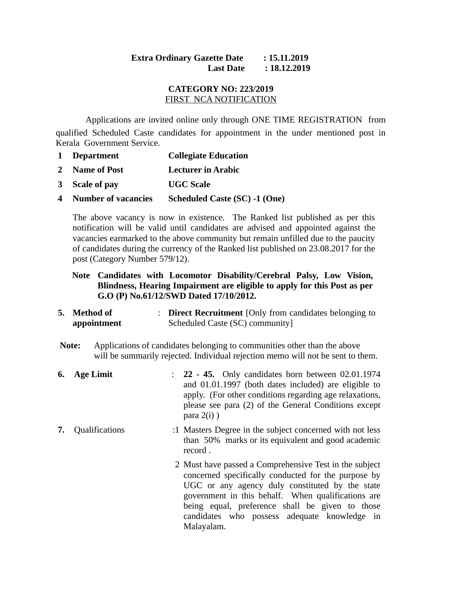## **Extra Ordinary Gazette Date : 15.11.2019 Last Date : 18.12.2019**

## **CATEGORY NO: 223/2019** FIRST NCA NOTIFICATION

Applications are invited online only through ONE TIME REGISTRATION from qualified Scheduled Caste candidates for appointment in the under mentioned post in Kerala Government Service.

- **1 Department Collegiate Education**
- **2 Name of Post Lecturer in Arabic**
- **3 Scale of pay UGC Scale**
- **4 Number of vacancies Scheduled Caste (SC) -1 (One)**

The above vacancy is now in existence. The Ranked list published as per this notification will be valid until candidates are advised and appointed against the vacancies earmarked to the above community but remain unfilled due to the paucity of candidates during the currency of the Ranked list published on 23.08.2017 for the post (Category Number 579/12).

- **Note Candidates with Locomotor Disability/Cerebral Palsy, Low Vision, Blindness, Hearing Impairment are eligible to apply for this Post as per G.O (P) No.61/12/SWD Dated 17/10/2012.**
- **5. Method of appointment** : **Direct Recruitment** [Only from candidates belonging to Scheduled Caste (SC) community]
- **Note:** Applications of candidates belonging to communities other than the above will be summarily rejected. Individual rejection memo will not be sent to them.
- **6. Age Limit** : **22 45.** Only candidates born between 02.01.1974 and 01.01.1997 (both dates included) are eligible to apply. (For other conditions regarding age relaxations, please see para (2) of the General Conditions except  $para 2(i)$ )
- **7.** Qualifications :1 Masters Degree in the subject concerned with not less than 50% marks or its equivalent and good academic record .
	- 2 Must have passed a Comprehensive Test in the subject concerned specifically conducted for the purpose by UGC or any agency duly constituted by the state government in this behalf. When qualifications are being equal, preference shall be given to those candidates who possess adequate knowledge in Malayalam.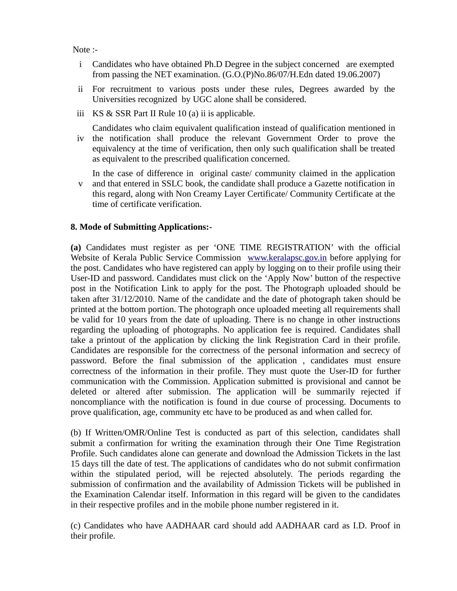Note :-

- i Candidates who have obtained Ph.D Degree in the subject concerned are exempted from passing the NET examination. (G.O.(P)No.86/07/H.Edn dated 19.06.2007)
- ii For recruitment to various posts under these rules, Degrees awarded by the Universities recognized by UGC alone shall be considered.
- iii KS & SSR Part II Rule 10 (a) ii is applicable.

iv the notification shall produce the relevant Government Order to prove the Candidates who claim equivalent qualification instead of qualification mentioned in equivalency at the time of verification, then only such qualification shall be treated as equivalent to the prescribed qualification concerned.

v and that entered in SSLC book, the candidate shall produce a Gazette notification in In the case of difference in original caste/ community claimed in the application this regard, along with Non Creamy Layer Certificate/ Community Certificate at the time of certificate verification.

## **8. Mode of Submitting Applications:-**

**(a)** Candidates must register as per 'ONE TIME REGISTRATION' with the official Website of Kerala Public Service Commission [www.keralapsc.gov.in](http://www.keralapsc.gov.in/) before applying for the post. Candidates who have registered can apply by logging on to their profile using their User-ID and password. Candidates must click on the 'Apply Now' button of the respective post in the Notification Link to apply for the post. The Photograph uploaded should be taken after 31/12/2010. Name of the candidate and the date of photograph taken should be printed at the bottom portion. The photograph once uploaded meeting all requirements shall be valid for 10 years from the date of uploading. There is no change in other instructions regarding the uploading of photographs. No application fee is required. Candidates shall take a printout of the application by clicking the link Registration Card in their profile. Candidates are responsible for the correctness of the personal information and secrecy of password. Before the final submission of the application , candidates must ensure correctness of the information in their profile. They must quote the User-ID for further communication with the Commission. Application submitted is provisional and cannot be deleted or altered after submission. The application will be summarily rejected if noncompliance with the notification is found in due course of processing. Documents to prove qualification, age, community etc have to be produced as and when called for.

(b) If Written/OMR/Online Test is conducted as part of this selection, candidates shall submit a confirmation for writing the examination through their One Time Registration Profile. Such candidates alone can generate and download the Admission Tickets in the last 15 days till the date of test. The applications of candidates who do not submit confirmation within the stipulated period, will be rejected absolutely. The periods regarding the submission of confirmation and the availability of Admission Tickets will be published in the Examination Calendar itself. Information in this regard will be given to the candidates in their respective profiles and in the mobile phone number registered in it.

(c) Candidates who have AADHAAR card should add AADHAAR card as I.D. Proof in their profile.